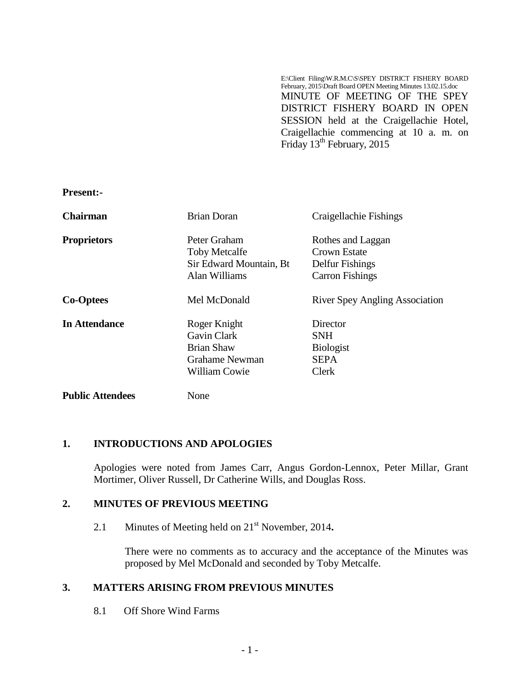E:\Client Filing\W.R.M.C\S\SPEY DISTRICT FISHERY BOARD February, 2015\Draft Board OPEN Meeting Minutes 13.02.15.doc MINUTE OF MEETING OF THE SPEY DISTRICT FISHERY BOARD IN OPEN SESSION held at the Craigellachie Hotel, Craigellachie commencing at 10 a. m. on Friday 13<sup>th</sup> February, 2015

**Present:-**

| <b>Chairman</b>         | <b>Brian Doran</b>                                                                  | Craigellachie Fishings                                      |
|-------------------------|-------------------------------------------------------------------------------------|-------------------------------------------------------------|
| <b>Proprietors</b>      | Peter Graham<br><b>Toby Metcalfe</b><br>Sir Edward Mountain, Bt                     | Rothes and Laggan<br>Crown Estate<br>Delfur Fishings        |
|                         | Alan Williams                                                                       | <b>Carron Fishings</b>                                      |
| <b>Co-Optees</b>        | Mel McDonald                                                                        | <b>River Spey Angling Association</b>                       |
| <b>In Attendance</b>    | Roger Knight<br>Gavin Clark<br><b>Brian Shaw</b><br>Grahame Newman<br>William Cowie | Director<br>SNH<br><b>Biologist</b><br><b>SEPA</b><br>Clerk |
| <b>Public Attendees</b> | None                                                                                |                                                             |

### **1. INTRODUCTIONS AND APOLOGIES**

Apologies were noted from James Carr, Angus Gordon-Lennox, Peter Millar, Grant Mortimer, Oliver Russell, Dr Catherine Wills, and Douglas Ross.

### **2. MINUTES OF PREVIOUS MEETING**

2.1 Minutes of Meeting held on 21<sup>st</sup> November, 2014.

There were no comments as to accuracy and the acceptance of the Minutes was proposed by Mel McDonald and seconded by Toby Metcalfe.

# **3. MATTERS ARISING FROM PREVIOUS MINUTES**

8.1 Off Shore Wind Farms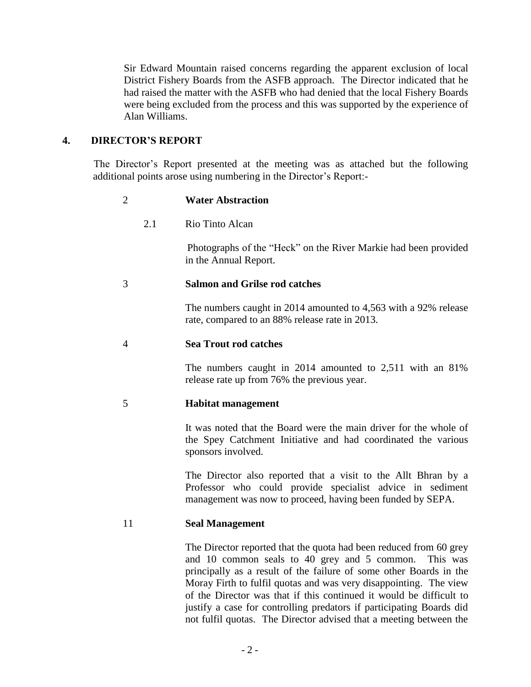Sir Edward Mountain raised concerns regarding the apparent exclusion of local District Fishery Boards from the ASFB approach. The Director indicated that he had raised the matter with the ASFB who had denied that the local Fishery Boards were being excluded from the process and this was supported by the experience of Alan Williams.

## **4. DIRECTOR'S REPORT**

The Director's Report presented at the meeting was as attached but the following additional points arose using numbering in the Director's Report:-

| 2  |     | <b>Water Abstraction</b>                                                                                                                                                                  |
|----|-----|-------------------------------------------------------------------------------------------------------------------------------------------------------------------------------------------|
|    | 2.1 | Rio Tinto Alcan                                                                                                                                                                           |
|    |     | Photographs of the "Heck" on the River Markie had been provided<br>in the Annual Report.                                                                                                  |
| 3  |     | <b>Salmon and Grilse rod catches</b>                                                                                                                                                      |
|    |     | The numbers caught in 2014 amounted to 4,563 with a 92% release<br>rate, compared to an 88% release rate in 2013.                                                                         |
| 4  |     | <b>Sea Trout rod catches</b>                                                                                                                                                              |
|    |     | The numbers caught in 2014 amounted to 2,511 with an 81%<br>release rate up from 76% the previous year.                                                                                   |
| 5  |     | <b>Habitat management</b>                                                                                                                                                                 |
|    |     | It was noted that the Board were the main driver for the whole of<br>the Spey Catchment Initiative and had coordinated the various<br>sponsors involved.                                  |
|    |     | The Director also reported that a visit to the Allt Bhran by a<br>Professor who could provide specialist advice in sediment<br>management was now to proceed, having been funded by SEPA. |
| 11 |     | <b>Seal Management</b>                                                                                                                                                                    |
|    |     | The Director reported that the quota had been reduced from 60 grey                                                                                                                        |

and 10 common seals to 40 grey and 5 common. This was principally as a result of the failure of some other Boards in the Moray Firth to fulfil quotas and was very disappointing. The view of the Director was that if this continued it would be difficult to justify a case for controlling predators if participating Boards did not fulfil quotas. The Director advised that a meeting between the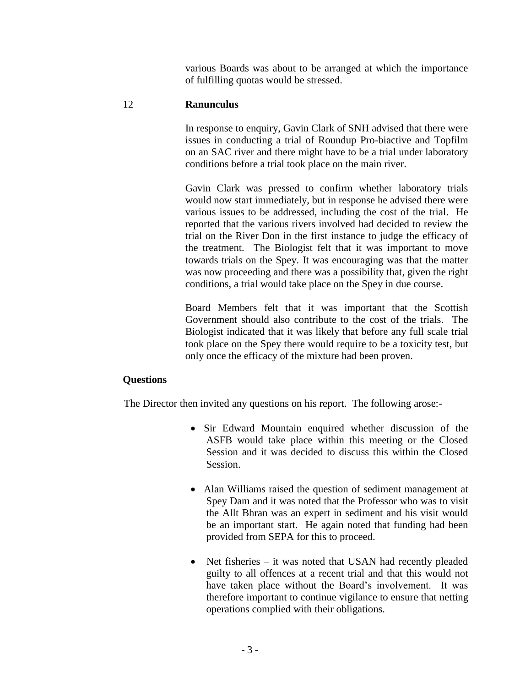various Boards was about to be arranged at which the importance of fulfilling quotas would be stressed.

# 12 **Ranunculus**

In response to enquiry, Gavin Clark of SNH advised that there were issues in conducting a trial of Roundup Pro-biactive and Topfilm on an SAC river and there might have to be a trial under laboratory conditions before a trial took place on the main river.

Gavin Clark was pressed to confirm whether laboratory trials would now start immediately, but in response he advised there were various issues to be addressed, including the cost of the trial. He reported that the various rivers involved had decided to review the trial on the River Don in the first instance to judge the efficacy of the treatment. The Biologist felt that it was important to move towards trials on the Spey. It was encouraging was that the matter was now proceeding and there was a possibility that, given the right conditions, a trial would take place on the Spey in due course.

Board Members felt that it was important that the Scottish Government should also contribute to the cost of the trials. The Biologist indicated that it was likely that before any full scale trial took place on the Spey there would require to be a toxicity test, but only once the efficacy of the mixture had been proven.

# **Questions**

The Director then invited any questions on his report. The following arose:-

- Sir Edward Mountain enquired whether discussion of the ASFB would take place within this meeting or the Closed Session and it was decided to discuss this within the Closed Session.
- Alan Williams raised the question of sediment management at Spey Dam and it was noted that the Professor who was to visit the Allt Bhran was an expert in sediment and his visit would be an important start. He again noted that funding had been provided from SEPA for this to proceed.
- Net fisheries it was noted that USAN had recently pleaded guilty to all offences at a recent trial and that this would not have taken place without the Board's involvement. It was therefore important to continue vigilance to ensure that netting operations complied with their obligations.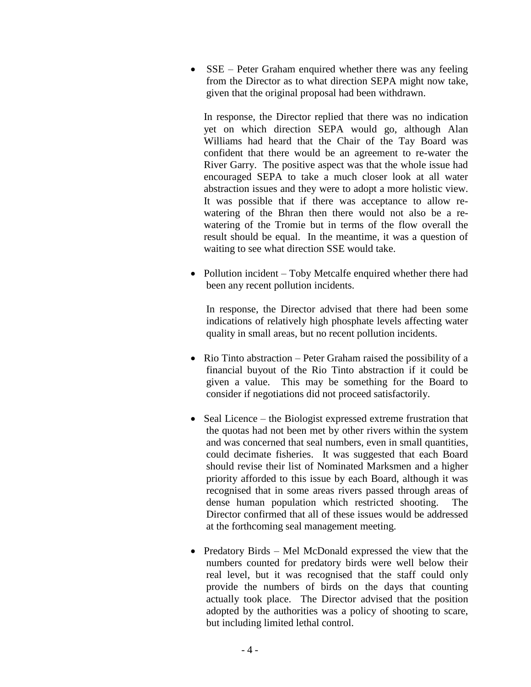• SSE – Peter Graham enquired whether there was any feeling from the Director as to what direction SEPA might now take, given that the original proposal had been withdrawn.

In response, the Director replied that there was no indication yet on which direction SEPA would go, although Alan Williams had heard that the Chair of the Tay Board was confident that there would be an agreement to re-water the River Garry. The positive aspect was that the whole issue had encouraged SEPA to take a much closer look at all water abstraction issues and they were to adopt a more holistic view. It was possible that if there was acceptance to allow rewatering of the Bhran then there would not also be a rewatering of the Tromie but in terms of the flow overall the result should be equal. In the meantime, it was a question of waiting to see what direction SSE would take.

• Pollution incident – Toby Metcalfe enquired whether there had been any recent pollution incidents.

In response, the Director advised that there had been some indications of relatively high phosphate levels affecting water quality in small areas, but no recent pollution incidents.

- Rio Tinto abstraction Peter Graham raised the possibility of a financial buyout of the Rio Tinto abstraction if it could be given a value. This may be something for the Board to consider if negotiations did not proceed satisfactorily.
- Seal Licence the Biologist expressed extreme frustration that the quotas had not been met by other rivers within the system and was concerned that seal numbers, even in small quantities, could decimate fisheries. It was suggested that each Board should revise their list of Nominated Marksmen and a higher priority afforded to this issue by each Board, although it was recognised that in some areas rivers passed through areas of dense human population which restricted shooting. The Director confirmed that all of these issues would be addressed at the forthcoming seal management meeting.
- Predatory Birds Mel McDonald expressed the view that the numbers counted for predatory birds were well below their real level, but it was recognised that the staff could only provide the numbers of birds on the days that counting actually took place. The Director advised that the position adopted by the authorities was a policy of shooting to scare, but including limited lethal control.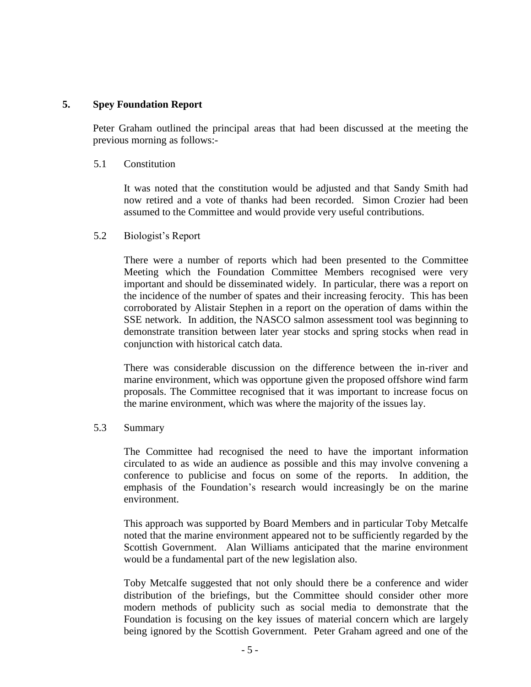## **5. Spey Foundation Report**

Peter Graham outlined the principal areas that had been discussed at the meeting the previous morning as follows:-

5.1 Constitution

It was noted that the constitution would be adjusted and that Sandy Smith had now retired and a vote of thanks had been recorded. Simon Crozier had been assumed to the Committee and would provide very useful contributions.

### 5.2 Biologist's Report

There were a number of reports which had been presented to the Committee Meeting which the Foundation Committee Members recognised were very important and should be disseminated widely. In particular, there was a report on the incidence of the number of spates and their increasing ferocity. This has been corroborated by Alistair Stephen in a report on the operation of dams within the SSE network. In addition, the NASCO salmon assessment tool was beginning to demonstrate transition between later year stocks and spring stocks when read in conjunction with historical catch data.

There was considerable discussion on the difference between the in-river and marine environment, which was opportune given the proposed offshore wind farm proposals. The Committee recognised that it was important to increase focus on the marine environment, which was where the majority of the issues lay.

### 5.3 Summary

The Committee had recognised the need to have the important information circulated to as wide an audience as possible and this may involve convening a conference to publicise and focus on some of the reports. In addition, the emphasis of the Foundation's research would increasingly be on the marine environment.

This approach was supported by Board Members and in particular Toby Metcalfe noted that the marine environment appeared not to be sufficiently regarded by the Scottish Government. Alan Williams anticipated that the marine environment would be a fundamental part of the new legislation also.

Toby Metcalfe suggested that not only should there be a conference and wider distribution of the briefings, but the Committee should consider other more modern methods of publicity such as social media to demonstrate that the Foundation is focusing on the key issues of material concern which are largely being ignored by the Scottish Government. Peter Graham agreed and one of the